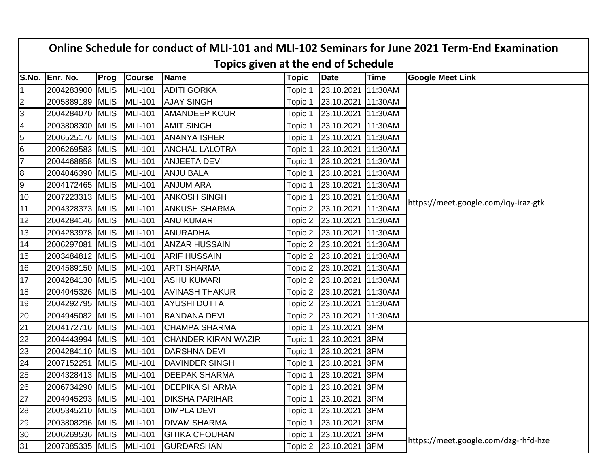|                | Online Schedule for conduct of MLI-101 and MLI-102 Seminars for June 2021 Term-End Examination |             |                |                                     |              |                            |             |                                      |  |  |
|----------------|------------------------------------------------------------------------------------------------|-------------|----------------|-------------------------------------|--------------|----------------------------|-------------|--------------------------------------|--|--|
|                |                                                                                                |             |                | Topics given at the end of Schedule |              |                            |             |                                      |  |  |
|                | S.No. Enr. No.                                                                                 | <b>Prog</b> | <b>Course</b>  | <b>Name</b>                         | <b>Topic</b> | <b>Date</b>                | <b>Time</b> | <b>Google Meet Link</b>              |  |  |
| $\mathbf 1$    | 2004283900 MLIS                                                                                |             | <b>MLI-101</b> | <b>ADITI GORKA</b>                  | Topic 1      | 23.10.2021 11:30AM         |             |                                      |  |  |
| $\overline{2}$ | 2005889189 MLIS                                                                                |             | <b>MLI-101</b> | <b>AJAY SINGH</b>                   | Topic 1      | 23.10.2021 11:30AM         |             |                                      |  |  |
| $\mathfrak{S}$ | 2004284070 MLIS                                                                                |             | <b>MLI-101</b> | <b>AMANDEEP KOUR</b>                | Topic 1      | 23.10.2021 11:30AM         |             |                                      |  |  |
| $\overline{4}$ | 2003808300 MLIS                                                                                |             | <b>MLI-101</b> | <b>AMIT SINGH</b>                   | Topic 1      | 23.10.2021 11:30AM         |             |                                      |  |  |
| 5              | 2006525176 MLIS                                                                                |             | <b>MLI-101</b> | <b>ANANYA ISHER</b>                 | Topic 1      | 23.10.2021 11:30AM         |             |                                      |  |  |
| 6              | 2006269583 MLIS                                                                                |             | <b>MLI-101</b> | <b>ANCHAL LALOTRA</b>               | Topic 1      | 23.10.2021 11:30AM         |             |                                      |  |  |
| $\overline{7}$ | 2004468858 MLIS                                                                                |             | <b>MLI-101</b> | <b>ANJEETA DEVI</b>                 | Topic 1      | 23.10.2021 11:30AM         |             |                                      |  |  |
| 8              | 2004046390 MLIS                                                                                |             | <b>MLI-101</b> | <b>ANJU BALA</b>                    | Topic 1      | 23.10.2021 11:30AM         |             |                                      |  |  |
| 9              | 2004172465 MLIS                                                                                |             | <b>MLI-101</b> | <b>ANJUM ARA</b>                    | Topic 1      | 23.10.2021 11:30AM         |             |                                      |  |  |
| 10             | 2007223313 MLIS                                                                                |             | <b>MLI-101</b> | <b>ANKOSH SINGH</b>                 | Topic 1      | 23.10.2021 11:30AM         |             |                                      |  |  |
| 11             | 2004328373 MLIS                                                                                |             | <b>MLI-101</b> | <b>ANKUSH SHARMA</b>                |              | Topic 2 23.10.2021 11:30AM |             | https://meet.google.com/iqy-iraz-gtk |  |  |
| 12             | 2004284146 MLIS                                                                                |             | <b>MLI-101</b> | <b>ANU KUMARI</b>                   |              | Topic 2 23.10.2021 11:30AM |             |                                      |  |  |
| 13             | 2004283978 MLIS                                                                                |             | <b>MLI-101</b> | ANURADHA                            |              | Topic 2 23.10.2021 11:30AM |             |                                      |  |  |
| 14             | 2006297081                                                                                     | <b>MLIS</b> | <b>MLI-101</b> | <b>ANZAR HUSSAIN</b>                |              | Topic 2 23.10.2021         | 11:30AM     |                                      |  |  |
| 15             | 2003484812 MLIS                                                                                |             | <b>MLI-101</b> | <b>ARIF HUSSAIN</b>                 |              | Topic 2 23.10.2021 11:30AM |             |                                      |  |  |
| 16             | 2004589150 MLIS                                                                                |             | <b>MLI-101</b> | <b>ARTI SHARMA</b>                  |              | Topic 2 23.10.2021 11:30AM |             |                                      |  |  |
| 17             | 2004284130 MLIS                                                                                |             | <b>MLI-101</b> | <b>ASHU KUMARI</b>                  |              | Topic 2 23.10.2021 11:30AM |             |                                      |  |  |
| 18             | 2004045326 MLIS                                                                                |             | <b>MLI-101</b> | <b>AVINASH THAKUR</b>               |              | Topic 2 23.10.2021 11:30AM |             |                                      |  |  |
| 19             | 2004292795 MLIS                                                                                |             | <b>MLI-101</b> | AYUSHI DUTTA                        | Topic 2      | 23.10.2021 11:30AM         |             |                                      |  |  |
| 20             | 2004945082 MLIS                                                                                |             | <b>MLI-101</b> | <b>BANDANA DEVI</b>                 |              | Topic 2 23.10.2021 11:30AM |             |                                      |  |  |
| 21             | 2004172716 MLIS                                                                                |             | <b>MLI-101</b> | <b>CHAMPA SHARMA</b>                | Topic 1      | 23.10.2021 3PM             |             |                                      |  |  |
| 22             | 2004443994 MLIS                                                                                |             | <b>MLI-101</b> | CHANDER KIRAN WAZIR                 | Topic 1      | 23.10.2021 3PM             |             |                                      |  |  |
| 23             | 2004284110 MLIS                                                                                |             | <b>MLI-101</b> | <b>DARSHNA DEVI</b>                 | Topic 1      | 23.10.2021                 | 3PM         |                                      |  |  |
| 24             | 2007152251                                                                                     | <b>MLIS</b> | <b>MLI-101</b> | <b>DAVINDER SINGH</b>               | Topic 1      | 23.10.2021 3PM             |             |                                      |  |  |
| 25             | 2004328413 MLIS                                                                                |             | <b>MLI-101</b> | <b>DEEPAK SHARMA</b>                | Topic 1      | 23.10.2021 3PM             |             |                                      |  |  |
| 26             | 2006734290 MLIS MLI-101                                                                        |             |                | <b>DEEPIKA SHARMA</b>               |              | Topic 1 23.10.2021 3PM     |             |                                      |  |  |
| 27             | 2004945293 MLIS                                                                                |             | <b>MLI-101</b> | <b>DIKSHA PARIHAR</b>               | Topic 1      | 23.10.2021 3PM             |             |                                      |  |  |
| 28             | 2005345210 MLIS                                                                                |             | <b>MLI-101</b> | <b>DIMPLA DEVI</b>                  | Topic 1      | 23.10.2021 3PM             |             |                                      |  |  |
| 29             | 2003808296 MLIS                                                                                |             | <b>MLI-101</b> | <b>DIVAM SHARMA</b>                 | Topic 1      | 23.10.2021 3PM             |             |                                      |  |  |
| 30             | 2006269536 MLIS                                                                                |             | <b>MLI-101</b> | <b>GITIKA CHOUHAN</b>               | Topic 1      | 23.10.2021 3PM             |             | https://meet.google.com/dzg-rhfd-hze |  |  |
| 31             | 2007385335 MLIS                                                                                |             | <b>MLI-101</b> | <b>GURDARSHAN</b>                   | Topic 2      | 23.10.2021 3PM             |             |                                      |  |  |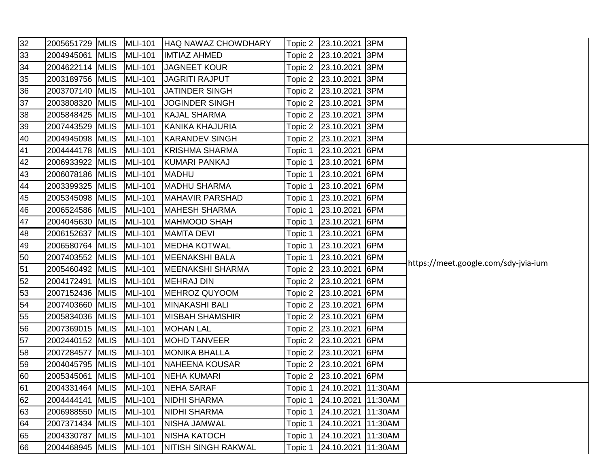| 32              | 2005651729      | <b>MLIS</b> | <b>MLI-101</b> | <b>HAQ NAWAZ CHOWDHARY</b> | Topic 2 | 23.10.2021             | 3PM     |                                      |
|-----------------|-----------------|-------------|----------------|----------------------------|---------|------------------------|---------|--------------------------------------|
| 33              | 2004945061      | <b>MLIS</b> | <b>MLI-101</b> | <b>IMTIAZ AHMED</b>        | Topic 2 | 23.10.2021             | 3PM     |                                      |
| $\overline{34}$ | 2004622114 MLIS |             | <b>MLI-101</b> | <b>JAGNEET KOUR</b>        |         | Topic 2 23.10.2021     | 3PM     |                                      |
| 35              | 2003189756      | <b>MLIS</b> | <b>MLI-101</b> | <b>JAGRITI RAJPUT</b>      | Topic 2 | 23.10.2021             | 3PM     |                                      |
| 36              | 2003707140      | <b>MLIS</b> | <b>MLI-101</b> | <b>JATINDER SINGH</b>      |         | Topic 2 23.10.2021     | 3PM     |                                      |
| 37              | 2003808320      | <b>MLIS</b> | <b>MLI-101</b> | <b>JOGINDER SINGH</b>      |         | Topic 2 23.10.2021     | 3PM     |                                      |
| 38              | 2005848425      | <b>MLIS</b> | <b>MLI-101</b> | <b>KAJAL SHARMA</b>        | Topic 2 | 23.10.2021             | 3PM     |                                      |
| 39              | 2007443529      | <b>MLIS</b> | <b>MLI-101</b> | <b>KANIKA KHAJURIA</b>     | Topic 2 | 23.10.2021             | 3PM     |                                      |
| 40              | 2004945098      | <b>MLIS</b> | <b>MLI-101</b> | <b>KARANDEV SINGH</b>      | Topic 2 | 23.10.2021             | 3PM     |                                      |
| 41              | 2004444178      | <b>MLIS</b> | <b>MLI-101</b> | <b>KRISHMA SHARMA</b>      | Topic 1 | 23.10.2021             | 6PM     |                                      |
| 42              | 2006933922      | <b>MLIS</b> | <b>MLI-101</b> | KUMARI PANKAJ              | Topic 1 | 23.10.2021             | 6PM     |                                      |
| 43              | 2006078186      | <b>MLIS</b> | <b>MLI-101</b> | <b>MADHU</b>               | Topic 1 | 23.10.2021             | 6PM     |                                      |
| 44              | 2003399325      | <b>MLIS</b> | <b>MLI-101</b> | <b>MADHU SHARMA</b>        | Topic 1 | 23.10.2021             | 6PM     |                                      |
| 45              | 2005345098      | <b>MLIS</b> | <b>MLI-101</b> | <b>MAHAVIR PARSHAD</b>     | Topic 1 | 23.10.2021             | 6PM     |                                      |
| 46              | 2006524586      | <b>MLIS</b> | <b>MLI-101</b> | <b>MAHESH SHARMA</b>       | Topic 1 | 23.10.2021             | 6PM     |                                      |
| 47              | 2004045630      | <b>MLIS</b> | <b>MLI-101</b> | <b>MAHMOOD SHAH</b>        | Topic 1 | 23.10.2021             | 6PM     |                                      |
| 48              | 2006152637      | <b>MLIS</b> | <b>MLI-101</b> | <b>MAMTA DEVI</b>          | Topic 1 | 23.10.2021             | 6PM     |                                      |
| 49              | 2006580764      | <b>MLIS</b> | <b>MLI-101</b> | <b>MEDHA KOTWAL</b>        | Topic 1 | 23.10.2021             | 6PM     |                                      |
| 50              | 2007403552      | <b>MLIS</b> | <b>MLI-101</b> | <b>MEENAKSHI BALA</b>      | Topic 1 | 23.10.2021             | 6PM     | https://meet.google.com/sdy-jvia-ium |
| 51              | 2005460492      | <b>MLIS</b> | <b>MLI-101</b> | <b>MEENAKSHI SHARMA</b>    | Topic 2 | 23.10.2021             | 6PM     |                                      |
| 52              | 2004172491      | <b>MLIS</b> | <b>MLI-101</b> | <b>MEHRAJ DIN</b>          | Topic 2 | 23.10.2021             | 6PM     |                                      |
| 53              | 2007152436      | <b>MLIS</b> | <b>MLI-101</b> | <b>MEHROZ QUYOOM</b>       | Topic 2 | 23.10.2021             | 6PM     |                                      |
| 54              | 2007403660      | <b>MLIS</b> | <b>MLI-101</b> | <b>MINAKASHI BALI</b>      | Topic 2 | 23.10.2021             | 6PM     |                                      |
| 55              | 2005834036      | <b>MLIS</b> | <b>MLI-101</b> | <b>MISBAH SHAMSHIR</b>     |         | Topic 2 23.10.2021     | 6PM     |                                      |
| 56              | 2007369015      | <b>MLIS</b> | <b>MLI-101</b> | <b>MOHAN LAL</b>           |         | Topic 2 23.10.2021     | 6PM     |                                      |
| 57              | 2002440152      | <b>MLIS</b> | <b>MLI-101</b> | <b>MOHD TANVEER</b>        | Topic 2 | 23.10.2021             | 6PM     |                                      |
| 58              | 2007284577      | <b>MLIS</b> | <b>MLI-101</b> | <b>MONIKA BHALLA</b>       | Topic 2 | 23.10.2021             | 6PM     |                                      |
| 59              | 2004045795      | <b>MLIS</b> | <b>MLI-101</b> | NAHEENA KOUSAR             |         | Topic 2 23.10.2021     | 6PM     |                                      |
| 60              | 2005345061 MLIS |             | <b>MLI-101</b> | <b>NEHA KUMARI</b>         |         | Topic 2 23.10.2021 6PM |         |                                      |
| 61              | 2004331464 MLIS |             | <b>MLI-101</b> | <b>NEHA SARAF</b>          | Topic 1 | 24.10.2021 11:30AM     |         |                                      |
| 62              | 2004444141 MLIS |             | <b>MLI-101</b> | <b>NIDHI SHARMA</b>        | Topic 1 | 24.10.2021             | 11:30AM |                                      |
| 63              | 2006988550      | <b>MLIS</b> | <b>MLI-101</b> | <b>NIDHI SHARMA</b>        | Topic 1 | 24.10.2021             | 11:30AM |                                      |
| 64              | 2007371434 MLIS |             | <b>MLI-101</b> | <b>NISHA JAMWAL</b>        | Topic 1 | 24.10.2021             | 11:30AM |                                      |
| 65              | 2004330787      | <b>MLIS</b> | <b>MLI-101</b> | <b>NISHA KATOCH</b>        | Topic 1 | 24.10.2021             | 11:30AM |                                      |
| 66              | 2004468945      | <b>MLIS</b> | <b>MLI-101</b> | <b>NITISH SINGH RAKWAL</b> | Topic 1 | 24.10.2021             | 11:30AM |                                      |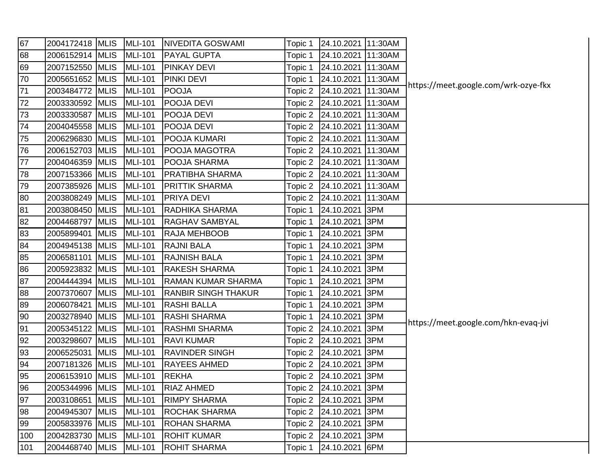| 67  | 2004172418 MLIS |             | <b>MLI-101</b> | <b>NIVEDITA GOSWAMI</b>    | Topic 1 | 24.10.2021             | 11:30AM |                                      |
|-----|-----------------|-------------|----------------|----------------------------|---------|------------------------|---------|--------------------------------------|
| 68  | 2006152914 MLIS |             | <b>MLI-101</b> | <b>PAYAL GUPTA</b>         | Topic 1 | 24.10.2021             | 11:30AM |                                      |
| 69  | 2007152550      | <b>MLIS</b> | <b>MLI-101</b> | <b>PINKAY DEVI</b>         | Topic 1 | 24.10.2021             | 11:30AM |                                      |
| 70  | 2005651652 MLIS |             | <b>MLI-101</b> | <b>PINKI DEVI</b>          | Topic 1 | 24.10.2021             | 11:30AM | https://meet.google.com/wrk-ozye-fkx |
| 71  | 2003484772      | <b>MLIS</b> | <b>MLI-101</b> | POOJA                      | Topic 2 | 24.10.2021             | 11:30AM |                                      |
| 72  | 2003330592      | <b>MLIS</b> | <b>MLI-101</b> | POOJA DEVI                 | Topic 2 | 24.10.2021             | 11:30AM |                                      |
| 73  | 2003330587 MLIS |             | <b>MLI-101</b> | <b>POOJA DEVI</b>          | Topic 2 | 24.10.2021             | 11:30AM |                                      |
| 74  | 2004045558      | <b>MLIS</b> | <b>MLI-101</b> | POOJA DEVI                 | Topic 2 | 24.10.2021             | 11:30AM |                                      |
| 75  | 2006296830      | <b>MLIS</b> | <b>MLI-101</b> | POOJA KUMARI               | Topic 2 | 24.10.2021             | 11:30AM |                                      |
| 76  | 2006152703      | <b>MLIS</b> | <b>MLI-101</b> | <b>POOJA MAGOTRA</b>       | Topic 2 | 24.10.2021             | 11:30AM |                                      |
| 77  | 2004046359      | <b>MLIS</b> | <b>MLI-101</b> | POOJA SHARMA               | Topic 2 | 24.10.2021             | 11:30AM |                                      |
| 78  | 2007153366      | <b>MLIS</b> | <b>MLI-101</b> | <b>PRATIBHA SHARMA</b>     | Topic 2 | 24.10.2021             | 11:30AM |                                      |
| 79  | 2007385926      | <b>MLIS</b> | <b>MLI-101</b> | <b>PRITTIK SHARMA</b>      | Topic 2 | 24.10.2021             | 11:30AM |                                      |
| 80  | 2003808249 MLIS |             | <b>MLI-101</b> | <b>PRIYA DEVI</b>          | Topic 2 | 24.10.2021             | 11:30AM |                                      |
| 81  | 2003808450      | <b>MLIS</b> | <b>MLI-101</b> | <b>RADHIKA SHARMA</b>      | Topic 1 | 24.10.2021             | 3PM     |                                      |
| 82  | 2004468797      | <b>MLIS</b> | <b>MLI-101</b> | <b>RAGHAV SAMBYAL</b>      | Topic 1 | 24.10.2021             | 3PM     |                                      |
| 83  | 2005899401      | <b>MLIS</b> | <b>MLI-101</b> | <b>RAJA MEHBOOB</b>        | Topic 1 | 24.10.2021             | 3PM     |                                      |
| 84  | 2004945138      | <b>MLIS</b> | <b>MLI-101</b> | <b>RAJNI BALA</b>          | Topic 1 | 24.10.2021             | 3PM     |                                      |
| 85  | 2006581101      | <b>MLIS</b> | <b>MLI-101</b> | <b>RAJNISH BALA</b>        | Topic 1 | 24.10.2021             | 3PM     |                                      |
| 86  | 2005923832      | <b>MLIS</b> | <b>MLI-101</b> | <b>RAKESH SHARMA</b>       | Topic 1 | 24.10.2021             | 3PM     |                                      |
| 87  | 2004444394 MLIS |             | <b>MLI-101</b> | <b>RAMAN KUMAR SHARMA</b>  | Topic 1 | 24.10.2021             | 3PM     |                                      |
| 88  | 2007370607      | <b>MLIS</b> | <b>MLI-101</b> | <b>RANBIR SINGH THAKUR</b> | Topic 1 | 24.10.2021             | 3PM     |                                      |
| 89  | 2006078421      | <b>MLIS</b> | <b>MLI-101</b> | <b>RASHI BALLA</b>         | Topic 1 | 24.10.2021             | 3PM     |                                      |
| 90  | 2003278940      | <b>MLIS</b> | <b>MLI-101</b> | <b>RASHI SHARMA</b>        | Topic 1 | 24.10.2021             | 3PM     |                                      |
| 91  | 2005345122      | <b>MLIS</b> | <b>MLI-101</b> | <b>RASHMI SHARMA</b>       | Topic 2 | 24.10.2021             | 3PM     | https://meet.google.com/hkn-evaq-jvi |
| 92  | 2003298607 MLIS |             | <b>MLI-101</b> | <b>RAVI KUMAR</b>          | Topic 2 | 24.10.2021             | 3PM     |                                      |
| 93  | 2006525031      | <b>MLIS</b> | <b>MLI-101</b> | <b>RAVINDER SINGH</b>      | Topic 2 | 24.10.2021             | 3PM     |                                      |
| 94  | 2007181326 MLIS |             | <b>MLI-101</b> | <b>RAYEES AHMED</b>        | Topic 2 | 24.10.2021             | 3PM     |                                      |
| 95  | 2006153910 MLIS |             | <b>MLI-101</b> | <b>REKHA</b>               |         | Topic 2 24.10.2021     | 3PM     |                                      |
| 96  | 2005344996 MLIS |             | <b>MLI-101</b> | <b>RIAZ AHMED</b>          |         | Topic 2 24.10.2021 3PM |         |                                      |
| 97  | 2003108651 MLIS |             | <b>MLI-101</b> | <b>RIMPY SHARMA</b>        | Topic 2 | 24.10.2021             | 3PM     |                                      |
| 98  | 2004945307 MLIS |             | <b>MLI-101</b> | <b>ROCHAK SHARMA</b>       | Topic 2 | 24.10.2021             | 3PM     |                                      |
| 99  | 2005833976 MLIS |             | <b>MLI-101</b> | <b>ROHAN SHARMA</b>        | Topic 2 | 24.10.2021             | 3PM     |                                      |
| 100 | 2004283730 MLIS |             | <b>MLI-101</b> | <b>ROHIT KUMAR</b>         | Topic 2 | 24.10.2021             | 3PM     |                                      |
| 101 | 2004468740 MLIS |             | <b>MLI-101</b> | <b>ROHIT SHARMA</b>        | Topic 1 | 24.10.2021 6PM         |         |                                      |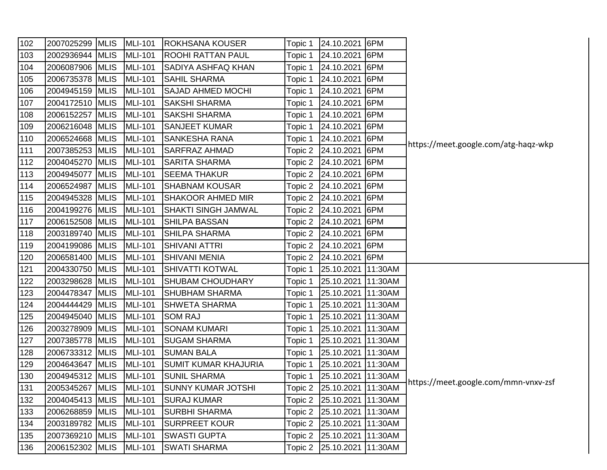| 102 | 2007025299      | <b>MLIS</b> | <b>MLI-101</b> | <b>ROKHSANA KOUSER</b>      | Topic 1 | 24.10.2021                 | 6PM     |                                      |
|-----|-----------------|-------------|----------------|-----------------------------|---------|----------------------------|---------|--------------------------------------|
| 103 | 2002936944      | <b>MLIS</b> | <b>MLI-101</b> | <b>ROOHI RATTAN PAUL</b>    | Topic 1 | 24.10.2021                 | 6PM     |                                      |
| 104 | 2006087906      | <b>MLIS</b> | <b>MLI-101</b> | <b>SADIYA ASHFAQ KHAN</b>   | Topic 1 | 24.10.2021                 | 6PM     |                                      |
| 105 | 2006735378      | <b>MLIS</b> | <b>MLI-101</b> | <b>SAHIL SHARMA</b>         | Topic 1 | 24.10.2021                 | 6PM     |                                      |
| 106 | 2004945159      | <b>MLIS</b> | <b>MLI-101</b> | <b>SAJAD AHMED MOCHI</b>    | Topic 1 | 24.10.2021                 | 6PM     |                                      |
| 107 | 2004172510      | <b>MLIS</b> | <b>MLI-101</b> | <b>SAKSHI SHARMA</b>        | Topic 1 | 24.10.2021                 | 6PM     |                                      |
| 108 | 2006152257      | <b>MLIS</b> | <b>MLI-101</b> | <b>SAKSHI SHARMA</b>        | Topic 1 | 24.10.2021                 | 6PM     |                                      |
| 109 | 2006216048      | <b>MLIS</b> | <b>MLI-101</b> | <b>SANJEET KUMAR</b>        | Topic 1 | 24.10.2021                 | 6PM     |                                      |
| 110 | 2006524668      | <b>MLIS</b> | <b>MLI-101</b> | <b>SANKESHA RANA</b>        | Topic 1 | 24.10.2021                 | 6PM     | https://meet.google.com/atg-haqz-wkp |
| 111 | 2007385253      | <b>MLIS</b> | <b>MLI-101</b> | <b>SARFRAZ AHMAD</b>        | Topic 2 | 24.10.2021                 | 6PM     |                                      |
| 112 | 2004045270      | <b>MLIS</b> | <b>MLI-101</b> | <b>SARITA SHARMA</b>        | Topic 2 | 24.10.2021                 | 6PM     |                                      |
| 113 | 2004945077      | <b>MLIS</b> | <b>MLI-101</b> | <b>SEEMA THAKUR</b>         | Topic 2 | 24.10.2021                 | 6PM     |                                      |
| 114 | 2006524987      | <b>MLIS</b> | <b>MLI-101</b> | <b>SHABNAM KOUSAR</b>       | Topic 2 | 24.10.2021                 | 6PM     |                                      |
| 115 | 2004945328      | <b>MLIS</b> | <b>MLI-101</b> | <b>SHAKOOR AHMED MIR</b>    | Topic 2 | 24.10.2021                 | 6PM     |                                      |
| 116 | 2004199276      | <b>MLIS</b> | <b>MLI-101</b> | <b>SHAKTI SINGH JAMWAL</b>  | Topic 2 | 24.10.2021                 | 6PM     |                                      |
| 117 | 2006152508      | <b>MLIS</b> | <b>MLI-101</b> | <b>SHILPA BASSAN</b>        | Topic 2 | 24.10.2021                 | 6PM     |                                      |
| 118 | 2003189740      | <b>MLIS</b> | <b>MLI-101</b> | <b>SHILPA SHARMA</b>        | Topic 2 | 24.10.2021                 | 6PM     |                                      |
| 119 | 2004199086      | <b>MLIS</b> | <b>MLI-101</b> | <b>SHIVANI ATTRI</b>        | Topic 2 | 24.10.2021                 | 6PM     |                                      |
| 120 | 2006581400      | <b>MLIS</b> | <b>MLI-101</b> | <b>SHIVANI MENIA</b>        | Topic 2 | 24.10.2021                 | 6PM     |                                      |
| 121 | 2004330750      | <b>MLIS</b> | <b>MLI-101</b> | <b>SHIVATTI KOTWAL</b>      | Topic 1 | 25.10.2021                 | 11:30AM |                                      |
| 122 | 2003298628      | <b>MLIS</b> | <b>MLI-101</b> | <b>SHUBAM CHOUDHARY</b>     | Topic 1 | 25.10.2021                 | 11:30AM |                                      |
| 123 | 2004478347      | <b>MLIS</b> | <b>MLI-101</b> | <b>SHUBHAM SHARMA</b>       | Topic 1 | 25.10.2021                 | 11:30AM |                                      |
| 124 | 2004444429      | <b>MLIS</b> | <b>MLI-101</b> | <b>SHWETA SHARMA</b>        | Topic 1 | 25.10.2021                 | 11:30AM |                                      |
| 125 | 2004945040      | <b>MLIS</b> | <b>MLI-101</b> | <b>SOM RAJ</b>              | Topic 1 | 25.10.2021                 | 11:30AM |                                      |
| 126 | 2003278909      | <b>MLIS</b> | <b>MLI-101</b> | <b>SONAM KUMARI</b>         | Topic 1 | 25.10.2021                 | 11:30AM |                                      |
| 127 | 2007385778      | <b>MLIS</b> | <b>MLI-101</b> | <b>SUGAM SHARMA</b>         | Topic 1 | 25.10.2021                 | 11:30AM |                                      |
| 128 | 2006733312      | <b>MLIS</b> | <b>MLI-101</b> | <b>SUMAN BALA</b>           | Topic 1 | 25.10.2021                 | 11:30AM |                                      |
| 129 | 2004643647      | <b>MLIS</b> | <b>MLI-101</b> | <b>SUMIT KUMAR KHAJURIA</b> | Topic 1 | 25.10.2021                 | 11:30AM |                                      |
| 130 | 2004945312 MLIS |             | <b>MLI-101</b> | <b>SUNIL SHARMA</b>         | Topic 1 | 25.10.2021 11:30AM         |         | https://meet.google.com/mmn-vnxv-zsf |
| 131 | 2005345267 MLIS |             | <b>MLI-101</b> | <b>SUNNY KUMAR JOTSHI</b>   |         | Topic 2 25.10.2021 11:30AM |         |                                      |
| 132 | 2004045413 MLIS |             | <b>MLI-101</b> | <b>SURAJ KUMAR</b>          | Topic 2 | 25.10.2021                 | 11:30AM |                                      |
| 133 | 2006268859 MLIS |             | <b>MLI-101</b> | <b>SURBHI SHARMA</b>        | Topic 2 | 25.10.2021                 | 11:30AM |                                      |
| 134 | 2003189782 MLIS |             | <b>MLI-101</b> | <b>SURPREET KOUR</b>        | Topic 2 | 25.10.2021                 | 11:30AM |                                      |
| 135 | 2007369210      | <b>MLIS</b> | <b>MLI-101</b> | <b>SWASTI GUPTA</b>         | Topic 2 | 25.10.2021                 | 11:30AM |                                      |
| 136 | 2006152302      | <b>MLIS</b> | <b>MLI-101</b> | <b>SWATI SHARMA</b>         | Topic 2 | 25.10.2021                 | 11:30AM |                                      |
|     |                 |             |                |                             |         |                            |         |                                      |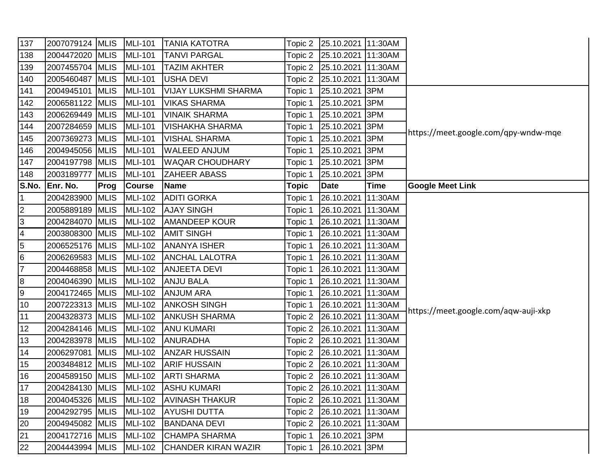| 137            | 2007079124 MLIS         |             | <b>MLI-101</b> | <b>TANIA KATOTRA</b>        |         | Topic 2 25.10.2021 11:30AM |             |                                      |
|----------------|-------------------------|-------------|----------------|-----------------------------|---------|----------------------------|-------------|--------------------------------------|
| 138            | 2004472020              | <b>MLIS</b> | <b>MLI-101</b> | <b>TANVI PARGAL</b>         | Topic 2 | 25.10.2021                 | 11:30AM     |                                      |
| 139            | 2007455704 MLIS         |             | <b>MLI-101</b> | <b>TAZIM AKHTER</b>         | Topic 2 | 25.10.2021                 | 11:30AM     |                                      |
| 140            | 2005460487              | <b>MLIS</b> | <b>MLI-101</b> | <b>USHA DEVI</b>            | Topic 2 | 25.10.2021 11:30AM         |             |                                      |
| 141            | 2004945101              | <b>MLIS</b> | <b>MLI-101</b> | <b>VIJAY LUKSHMI SHARMA</b> | Topic 1 | 25.10.2021                 | 3PM         |                                      |
| 142            | 2006581122              | <b>MLIS</b> | <b>MLI-101</b> | <b>VIKAS SHARMA</b>         | Topic 1 | 25.10.2021                 | 3PM         |                                      |
| 143            | 2006269449              | <b>MLIS</b> | <b>MLI-101</b> | <b>VINAIK SHARMA</b>        | Topic 1 | 25.10.2021 3PM             |             |                                      |
| 144            | 2007284659              | <b>MLIS</b> | <b>MLI-101</b> | <b>VISHAKHA SHARMA</b>      | Topic 1 | 25.10.2021                 | 3PM         | https://meet.google.com/qpy-wndw-mqe |
| 145            | 2007369273              | <b>MLIS</b> | <b>MLI-101</b> | <b>VISHAL SHARMA</b>        | Topic 1 | 25.10.2021                 | 3PM         |                                      |
| 146            | 2004945056 MLIS         |             | <b>MLI-101</b> | <b>WALEED ANJUM</b>         | Topic 1 | 25.10.2021                 | 3PM         |                                      |
| 147            | 2004197798              | <b>MLIS</b> | <b>MLI-101</b> | <b>WAQAR CHOUDHARY</b>      | Topic 1 | 25.10.2021 3PM             |             |                                      |
| 148            | 2003189777              | <b>MLIS</b> | <b>MLI-101</b> | <b>ZAHEER ABASS</b>         | Topic 1 | 25.10.2021 3PM             |             |                                      |
| S.No.          | Enr. No.                | Prog        | <b>Course</b>  | <b>Name</b>                 | Topic   | <b>Date</b>                | <b>Time</b> | <b>Google Meet Link</b>              |
| $\overline{1}$ | 2004283900              | <b>MLIS</b> | <b>MLI-102</b> | <b>ADITI GORKA</b>          | Topic 1 | 26.10.2021 11:30AM         |             |                                      |
| $\overline{2}$ | 2005889189              | <b>MLIS</b> | MLI-102        | <b>AJAY SINGH</b>           | Topic 1 | 26.10.2021                 | 11:30AM     |                                      |
| $\overline{3}$ | 2004284070              | <b>MLIS</b> | <b>MLI-102</b> | <b>AMANDEEP KOUR</b>        | Topic 1 | 26.10.2021                 | 11:30AM     |                                      |
| $\overline{4}$ | 2003808300              | <b>MLIS</b> | <b>MLI-102</b> | <b>AMIT SINGH</b>           | Topic 1 | 26.10.2021 11:30AM         |             |                                      |
| $\overline{5}$ | 2006525176 MLIS         |             | <b>MLI-102</b> | <b>ANANYA ISHER</b>         | Topic 1 | 26.10.2021 11:30AM         |             |                                      |
| $6\,$          | 2006269583              | <b>MLIS</b> | <b>MLI-102</b> | <b>ANCHAL LALOTRA</b>       | Topic 1 | 26.10.2021 11:30AM         |             |                                      |
| $\overline{7}$ | 2004468858              | <b>MLIS</b> | MLI-102        | <b>ANJEETA DEVI</b>         | Topic 1 | 26.10.2021                 | 11:30AM     |                                      |
| $\bf 8$        | 2004046390              | <b>MLIS</b> | MLI-102        | <b>ANJU BALA</b>            | Topic 1 | 26.10.2021 11:30AM         |             |                                      |
| $9\,$          | 2004172465 MLIS         |             | MLI-102        | <b>ANJUM ARA</b>            | Topic 1 | 26.10.2021                 | 11:30AM     |                                      |
| 10             | 2007223313 MLIS         |             | <b>MLI-102</b> | <b>ANKOSH SINGH</b>         | Topic 1 | 26.10.2021 11:30AM         |             | https://meet.google.com/aqw-auji-xkp |
| 11             | 2004328373              | <b>MLIS</b> | MLI-102        | <b>ANKUSH SHARMA</b>        | Topic 2 | 26.10.2021 11:30AM         |             |                                      |
| 12             | 2004284146              | <b>MLIS</b> | <b>MLI-102</b> | <b>ANU KUMARI</b>           | Topic 2 | 26.10.2021 11:30AM         |             |                                      |
| 13             | 2004283978              | <b>MLIS</b> | <b>MLI-102</b> | <b>ANURADHA</b>             | Topic 2 | 26.10.2021 11:30AM         |             |                                      |
| 14             | 2006297081              | <b>MLIS</b> | MLI-102        | <b>ANZAR HUSSAIN</b>        | Topic 2 | 26.10.2021                 | 11:30AM     |                                      |
| 15             | 2003484812              | <b>MLIS</b> | MLI-102        | <b>ARIF HUSSAIN</b>         | Topic 2 | 26.10.2021                 | 11:30AM     |                                      |
| 16             | 2004589150 MLIS         |             | <b>MLI-102</b> | <b>ARTI SHARMA</b>          |         | Topic 2 26.10.2021 11:30AM |             |                                      |
| 17             | 2004284130 MLIS MLI-102 |             |                | <b>ASHU KUMARI</b>          | Topic 2 | 26.10.2021 11:30AM         |             |                                      |
| 18             | 2004045326 MLIS         |             | <b>MLI-102</b> | <b>AVINASH THAKUR</b>       | Topic 2 | 26.10.2021 11:30AM         |             |                                      |
| 19             | 2004292795 MLIS         |             | <b>MLI-102</b> | <b>AYUSHI DUTTA</b>         | Topic 2 | 26.10.2021 11:30AM         |             |                                      |
| 20             | 2004945082 MLIS         |             | <b>MLI-102</b> | <b>BANDANA DEVI</b>         | Topic 2 | 26.10.2021 11:30AM         |             |                                      |
| 21             | 2004172716 MLIS         |             | <b>MLI-102</b> | <b>CHAMPA SHARMA</b>        | Topic 1 | 26.10.2021                 | 3PM         |                                      |
| 22             | 2004443994 MLIS         |             | MLI-102        | <b>CHANDER KIRAN WAZIR</b>  | Topic 1 | 26.10.2021 3PM             |             |                                      |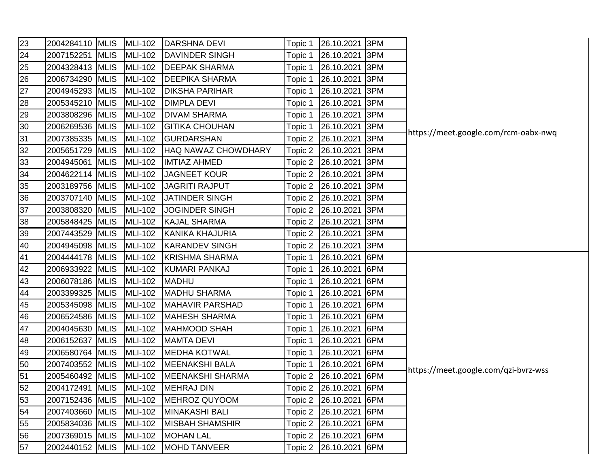| 23 | 2004284110 MLIS |             | MLI-102        | <b>DARSHNA DEVI</b>     | Topic 1 | 26.10.2021     | 3PM |                                      |
|----|-----------------|-------------|----------------|-------------------------|---------|----------------|-----|--------------------------------------|
| 24 | 2007152251      | <b>MLIS</b> | MLI-102        | <b>DAVINDER SINGH</b>   | Topic 1 | 26.10.2021     | 3PM |                                      |
| 25 | 2004328413 MLIS |             | <b>MLI-102</b> | <b>DEEPAK SHARMA</b>    | Topic 1 | 26.10.2021     | 3PM |                                      |
| 26 | 2006734290      | <b>MLIS</b> | <b>MLI-102</b> | <b>DEEPIKA SHARMA</b>   | Topic 1 | 26.10.2021     | 3PM |                                      |
| 27 | 2004945293 MLIS |             | <b>MLI-102</b> | <b>DIKSHA PARIHAR</b>   | Topic 1 | 26.10.2021     | 3PM |                                      |
| 28 | 2005345210      | <b>MLIS</b> | MLI-102        | <b>DIMPLA DEVI</b>      | Topic 1 | 26.10.2021     | 3PM |                                      |
| 29 | 2003808296 MLIS |             | MLI-102        | <b>DIVAM SHARMA</b>     | Topic 1 | 26.10.2021     | 3PM |                                      |
| 30 | 2006269536      | <b>MLIS</b> | <b>MLI-102</b> | <b>GITIKA CHOUHAN</b>   | Topic 1 | 26.10.2021     | 3PM | https://meet.google.com/rcm-oabx-nwq |
| 31 | 2007385335      | <b>MLIS</b> | <b>MLI-102</b> | <b>GURDARSHAN</b>       | Topic 2 | 26.10.2021     | 3PM |                                      |
| 32 | 2005651729 MLIS |             | <b>MLI-102</b> | HAQ NAWAZ CHOWDHARY     | Topic 2 | 26.10.2021     | 3PM |                                      |
| 33 | 2004945061      | <b>MLIS</b> | <b>MLI-102</b> | <b>IMTIAZ AHMED</b>     | Topic 2 | 26.10.2021     | 3PM |                                      |
| 34 | 2004622114 MLIS |             | <b>MLI-102</b> | <b>JAGNEET KOUR</b>     | Topic 2 | 26.10.2021     | 3PM |                                      |
| 35 | 2003189756      | <b>MLIS</b> | MLI-102        | <b>JAGRITI RAJPUT</b>   | Topic 2 | 26.10.2021     | 3PM |                                      |
| 36 | 2003707140 MLIS |             | MLI-102        | <b>JATINDER SINGH</b>   | Topic 2 | 26.10.2021     | 3PM |                                      |
| 37 | 2003808320      | <b>MLIS</b> | <b>MLI-102</b> | <b>JOGINDER SINGH</b>   | Topic 2 | 26.10.2021     | 3PM |                                      |
| 38 | 2005848425      | <b>MLIS</b> | <b>MLI-102</b> | <b>KAJAL SHARMA</b>     | Topic 2 | 26.10.2021     | 3PM |                                      |
| 39 | 2007443529 MLIS |             | <b>MLI-102</b> | <b>KANIKA KHAJURIA</b>  | Topic 2 | 26.10.2021     | 3PM |                                      |
| 40 | 2004945098 MLIS |             | MLI-102        | <b>KARANDEV SINGH</b>   | Topic 2 | 26.10.2021     | 3PM |                                      |
| 41 | 2004444178 MLIS |             | <b>MLI-102</b> | <b>KRISHMA SHARMA</b>   | Topic 1 | 26.10.2021     | 6PM |                                      |
| 42 | 2006933922      | <b>MLIS</b> | <b>MLI-102</b> | KUMARI PANKAJ           | Topic 1 | 26.10.2021     | 6PM |                                      |
| 43 | 2006078186 MLIS |             | MLI-102        | <b>MADHU</b>            | Topic 1 | 26.10.2021     | 6PM |                                      |
| 44 | 2003399325 MLIS |             | <b>MLI-102</b> | <b>MADHU SHARMA</b>     | Topic 1 | 26.10.2021     | 6PM |                                      |
| 45 | 2005345098      | <b>MLIS</b> | <b>MLI-102</b> | <b>MAHAVIR PARSHAD</b>  | Topic 1 | 26.10.2021     | 6PM |                                      |
| 46 | 2006524586 MLIS |             | <b>MLI-102</b> | <b>MAHESH SHARMA</b>    | Topic 1 | 26.10.2021     | 6PM |                                      |
| 47 | 2004045630      | <b>MLIS</b> | MLI-102        | <b>MAHMOOD SHAH</b>     | Topic 1 | 26.10.2021     | 6PM |                                      |
| 48 | 2006152637 MLIS |             | <b>MLI-102</b> | <b>MAMTA DEVI</b>       | Topic 1 | 26.10.2021     | 6PM |                                      |
| 49 | 2006580764      | <b>MLIS</b> | <b>MLI-102</b> | <b>MEDHA KOTWAL</b>     | Topic 1 | 26.10.2021     | 6PM |                                      |
| 50 | 2007403552 MLIS |             | <b>MLI-102</b> | <b>MEENAKSHI BALA</b>   | Topic 1 | 26.10.2021     | 6PM | https://meet.google.com/qzi-bvrz-wss |
| 51 | 2005460492 MLIS |             | <b>MLI-102</b> | <b>MEENAKSHI SHARMA</b> | Topic 2 | 26.10.2021 6PM |     |                                      |
| 52 | 2004172491 MLIS |             | <b>MLI-102</b> | <b>MEHRAJ DIN</b>       | Topic 2 | 26.10.2021 6PM |     |                                      |
| 53 | 2007152436 MLIS |             | MLI-102        | <b>MEHROZ QUYOOM</b>    | Topic 2 | 26.10.2021     | 6PM |                                      |
| 54 | 2007403660 MLIS |             | MLI-102        | <b>MINAKASHI BALI</b>   | Topic 2 | 26.10.2021     | 6PM |                                      |
| 55 | 2005834036 MLIS |             | MLI-102        | <b>MISBAH SHAMSHIR</b>  | Topic 2 | 26.10.2021 6PM |     |                                      |
| 56 | 2007369015 MLIS |             | <b>MLI-102</b> | <b>MOHAN LAL</b>        | Topic 2 | 26.10.2021     | 6PM |                                      |
| 57 | 2002440152 MLIS |             | <b>MLI-102</b> | <b>MOHD TANVEER</b>     | Topic 2 | 26.10.2021 6PM |     |                                      |
|    |                 |             |                |                         |         |                |     |                                      |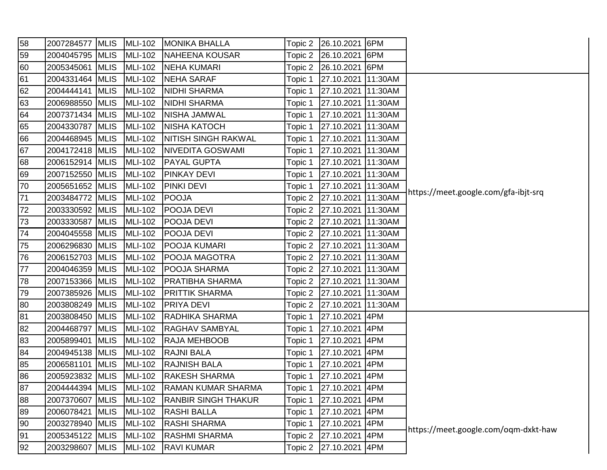| 58 | 2007284577 MLIS |             | <b>MLI-102</b> | <b>MONIKA BHALLA</b>       |         | Topic 2 26.10.2021     | 6PM     |                                      |
|----|-----------------|-------------|----------------|----------------------------|---------|------------------------|---------|--------------------------------------|
| 59 | 2004045795 MLIS |             | MLI-102        | <b>NAHEENA KOUSAR</b>      | Topic 2 | 26.10.2021             | 6PM     |                                      |
| 60 | 2005345061 MLIS |             | MLI-102        | <b>NEHA KUMARI</b>         |         | Topic 2 26.10.2021     | 6PM     |                                      |
| 61 | 2004331464 MLIS |             | MLI-102        | <b>NEHA SARAF</b>          | Topic 1 | 27.10.2021             | 11:30AM |                                      |
| 62 | 2004444141 MLIS |             | MLI-102        | <b>NIDHI SHARMA</b>        | Topic 1 | 27.10.2021             | 11:30AM |                                      |
| 63 | 2006988550      | <b>MLIS</b> | MLI-102        | <b>NIDHI SHARMA</b>        | Topic 1 | 27.10.2021             | 11:30AM |                                      |
| 64 | 2007371434 MLIS |             | <b>MLI-102</b> | <b>NISHA JAMWAL</b>        | Topic 1 | 27.10.2021             | 11:30AM |                                      |
| 65 | 2004330787 MLIS |             | <b>MLI-102</b> | <b>NISHA KATOCH</b>        | Topic 1 | 27.10.2021             | 11:30AM |                                      |
| 66 | 2004468945 MLIS |             | <b>MLI-102</b> | NITISH SINGH RAKWAL        | Topic 1 | 27.10.2021             | 11:30AM |                                      |
| 67 | 2004172418 MLIS |             | MLI-102        | <b>NIVEDITA GOSWAMI</b>    | Topic 1 | 27.10.2021             | 11:30AM |                                      |
| 68 | 2006152914 MLIS |             | <b>MLI-102</b> | <b>PAYAL GUPTA</b>         | Topic 1 | 27.10.2021             | 11:30AM |                                      |
| 69 | 2007152550 MLIS |             | <b>MLI-102</b> | <b>PINKAY DEVI</b>         | Topic 1 | 27.10.2021             | 11:30AM |                                      |
| 70 | 2005651652 MLIS |             | MLI-102        | PINKI DEVI                 | Topic 1 | 27.10.2021             | 11:30AM | https://meet.google.com/gfa-ibjt-srq |
| 71 | 2003484772 MLIS |             | <b>MLI-102</b> | <b>POOJA</b>               | Topic 2 | 27.10.2021             | 11:30AM |                                      |
| 72 | 2003330592 MLIS |             | <b>MLI-102</b> | POOJA DEVI                 |         | Topic 2 27.10.2021     | 11:30AM |                                      |
| 73 | 2003330587      | <b>MLIS</b> | <b>MLI-102</b> | POOJA DEVI                 |         | Topic 2 27.10.2021     | 11:30AM |                                      |
| 74 | 2004045558 MLIS |             | MLI-102        | POOJA DEVI                 |         | Topic 2 27.10.2021     | 11:30AM |                                      |
| 75 | 2006296830 MLIS |             | <b>MLI-102</b> | POOJA KUMARI               |         | Topic 2 27.10.2021     | 11:30AM |                                      |
| 76 | 2006152703 MLIS |             | MLI-102        | POOJA MAGOTRA              | Topic 2 | 27.10.2021             | 11:30AM |                                      |
| 77 | 2004046359      | <b>MLIS</b> | MLI-102        | POOJA SHARMA               |         | Topic 2 27.10.2021     | 11:30AM |                                      |
| 78 | 2007153366 MLIS |             | <b>MLI-102</b> | PRATIBHA SHARMA            |         | Topic 2 27.10.2021     | 11:30AM |                                      |
| 79 | 2007385926 MLIS |             | MLI-102        | <b>PRITTIK SHARMA</b>      |         | Topic 2 27.10.2021     | 11:30AM |                                      |
| 80 | 2003808249      | <b>MLIS</b> | MLI-102        | <b>PRIYA DEVI</b>          |         | Topic 2 27.10.2021     | 11:30AM |                                      |
| 81 | 2003808450 MLIS |             | <b>MLI-102</b> | RADHIKA SHARMA             | Topic 1 | 27.10.2021             | 4PM     |                                      |
| 82 | 2004468797 MLIS |             | <b>MLI-102</b> | <b>RAGHAV SAMBYAL</b>      | Topic 1 | 27.10.2021             | 4PM     |                                      |
| 83 | 2005899401      | <b>MLIS</b> | MLI-102        | <b>RAJA MEHBOOB</b>        | Topic 1 | 27.10.2021             | 4PM     |                                      |
| 84 | 2004945138 MLIS |             | MLI-102        | <b>RAJNI BALA</b>          | Topic 1 | 27.10.2021             | 4PM     |                                      |
| 85 | 2006581101 MLIS |             | MLI-102        | <b>RAJNISH BALA</b>        | Topic 1 | 27.10.2021             | 4PM     |                                      |
| 86 | 2005923832 MLIS |             | MLI-102        | <b>RAKESH SHARMA</b>       |         | Topic 1 27.10.2021 4PM |         |                                      |
| 87 | 2004444394 MLIS |             | <b>MLI-102</b> | <b>RAMAN KUMAR SHARMA</b>  | Topic 1 | 27.10.2021             | 4PM     |                                      |
| 88 | 2007370607 MLIS |             | MLI-102        | <b>RANBIR SINGH THAKUR</b> | Topic 1 | 27.10.2021             | 4PM     |                                      |
| 89 | 2006078421      | <b>MLIS</b> | <b>MLI-102</b> | <b>RASHI BALLA</b>         | Topic 1 | 27.10.2021             | 4PM     |                                      |
| 90 | 2003278940 MLIS |             | MLI-102        | <b>RASHI SHARMA</b>        | Topic 1 | 27.10.2021             | 4PM     | https://meet.google.com/oqm-dxkt-haw |
| 91 | 2005345122      | <b>MLIS</b> | <b>MLI-102</b> | <b>RASHMI SHARMA</b>       | Topic 2 | 27.10.2021             | 4PM     |                                      |
| 92 | 2003298607 MLIS |             | <b>MLI-102</b> | <b>RAVI KUMAR</b>          | Topic 2 | 27.10.2021             | 4PM     |                                      |
|    |                 |             |                |                            |         |                        |         |                                      |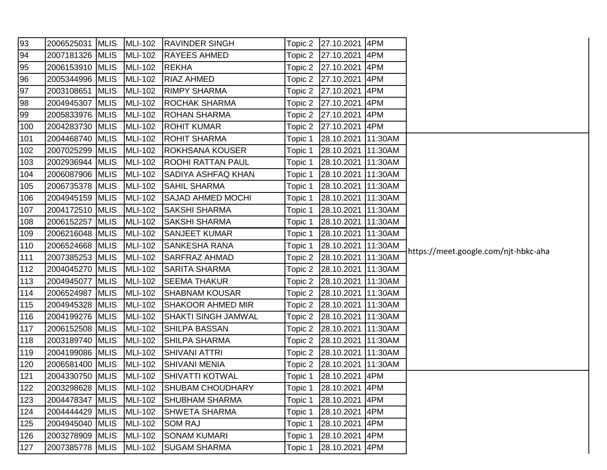| 93  | 2006525031 MLIS | <b>MLI-102</b> | <b>RAVINDER SINGH</b>      |         | Topic 2 27.10.2021 4PM     |         |                                      |
|-----|-----------------|----------------|----------------------------|---------|----------------------------|---------|--------------------------------------|
| 94  | 2007181326 MLIS | <b>MLI-102</b> | <b>RAYEES AHMED</b>        |         | Topic 2 27.10.2021 4PM     |         |                                      |
| 95  | 2006153910 MLIS | <b>MLI-102</b> | <b>REKHA</b>               |         | Topic 2 27.10.2021 4PM     |         |                                      |
| 96  | 2005344996 MLIS | <b>MLI-102</b> | <b>RIAZ AHMED</b>          |         | Topic 2 27.10.2021 4PM     |         |                                      |
| 97  | 2003108651 MLIS | <b>MLI-102</b> | <b>RIMPY SHARMA</b>        |         | Topic 2 27.10.2021 4PM     |         |                                      |
| 98  | 2004945307 MLIS | <b>MLI-102</b> | <b>ROCHAK SHARMA</b>       | Topic 2 | 27.10.2021                 | 4PM     |                                      |
| 99  | 2005833976 MLIS | <b>MLI-102</b> | <b>ROHAN SHARMA</b>        | Topic 2 | 27.10.2021 4PM             |         |                                      |
| 100 | 2004283730 MLIS | <b>MLI-102</b> | <b>ROHIT KUMAR</b>         |         | Topic 2 27.10.2021 4PM     |         |                                      |
| 101 | 2004468740 MLIS | <b>MLI-102</b> | <b>ROHIT SHARMA</b>        | Topic 1 | 28.10.2021 11:30AM         |         |                                      |
| 102 | 2007025299 MLIS | <b>MLI-102</b> | <b>ROKHSANA KOUSER</b>     | Topic 1 | 28.10.2021 11:30AM         |         |                                      |
| 103 | 2002936944 MLIS | <b>MLI-102</b> | <b>ROOHI RATTAN PAUL</b>   | Topic 1 | 28.10.2021 11:30AM         |         |                                      |
| 104 | 2006087906 MLIS | <b>MLI-102</b> | SADIYA ASHFAQ KHAN         | Topic 1 | 28.10.2021 11:30AM         |         |                                      |
| 105 | 2006735378 MLIS | <b>MLI-102</b> | <b>SAHIL SHARMA</b>        | Topic 1 | 28.10.2021 11:30AM         |         |                                      |
| 106 | 2004945159 MLIS | <b>MLI-102</b> | <b>SAJAD AHMED MOCHI</b>   | Topic 1 | 28.10.2021                 | 11:30AM |                                      |
| 107 | 2004172510 MLIS | <b>MLI-102</b> | <b>SAKSHI SHARMA</b>       | Topic 1 | 28.10.2021 11:30AM         |         |                                      |
| 108 | 2006152257 MLIS | <b>MLI-102</b> | SAKSHI SHARMA              | Topic 1 | 28.10.2021 11:30AM         |         |                                      |
| 109 | 2006216048 MLIS | <b>MLI-102</b> | <b>SANJEET KUMAR</b>       | Topic 1 | 28.10.2021 11:30AM         |         |                                      |
| 110 | 2006524668 MLIS | <b>MLI-102</b> | <b>SANKESHA RANA</b>       | Topic 1 | 28.10.2021 11:30AM         |         | https://meet.google.com/njt-hbkc-aha |
| 111 | 2007385253 MLIS | <b>MLI-102</b> | <b>SARFRAZ AHMAD</b>       | Topic 2 | 28.10.2021 11:30AM         |         |                                      |
| 112 | 2004045270 MLIS | <b>MLI-102</b> | <b>SARITA SHARMA</b>       |         | Topic 2 28.10.2021         | 11:30AM |                                      |
| 113 | 2004945077 MLIS | <b>MLI-102</b> | <b>SEEMA THAKUR</b>        |         | Topic 2 28.10.2021 11:30AM |         |                                      |
| 114 | 2006524987 MLIS | <b>MLI-102</b> | <b>SHABNAM KOUSAR</b>      | Topic 2 | 28.10.2021 11:30AM         |         |                                      |
| 115 | 2004945328 MLIS | <b>MLI-102</b> | <b>SHAKOOR AHMED MIR</b>   |         | Topic 2 28.10.2021 11:30AM |         |                                      |
| 116 | 2004199276 MLIS | <b>MLI-102</b> | <b>SHAKTI SINGH JAMWAL</b> |         | Topic 2 28.10.2021 11:30AM |         |                                      |
| 117 | 2006152508 MLIS | <b>MLI-102</b> | <b>SHILPA BASSAN</b>       |         | Topic 2 28.10.2021 11:30AM |         |                                      |
| 118 | 2003189740 MLIS | <b>MLI-102</b> | <b>SHILPA SHARMA</b>       | Topic 2 | 28.10.2021                 | 11:30AM |                                      |
| 119 | 2004199086 MLIS | <b>MLI-102</b> | <b>SHIVANI ATTRI</b>       |         | Topic 2 28.10.2021 11:30AM |         |                                      |
| 120 | 2006581400 MLIS | <b>MLI-102</b> | <b>SHIVANI MENIA</b>       | Topic 2 | 28.10.2021 11:30AM         |         |                                      |
| 121 | 2004330750 MLIS | <b>MLI-102</b> | <b>SHIVATTI KOTWAL</b>     | Topic 1 | 28.10.2021 4PM             |         |                                      |
| 122 | 2003298628 MLIS | <b>MLI-102</b> | <b>SHUBAM CHOUDHARY</b>    | Topic 1 | 28.10.2021                 | 4PM     |                                      |
| 123 | 2004478347 MLIS | <b>MLI-102</b> | <b>SHUBHAM SHARMA</b>      | Topic 1 | 28.10.2021                 | 4PM     |                                      |
| 124 | 2004444429 MLIS | <b>MLI-102</b> | <b>SHWETA SHARMA</b>       | Topic 1 | 28.10.2021                 | 4PM     |                                      |
| 125 | 2004945040 MLIS | <b>MLI-102</b> | <b>SOM RAJ</b>             | Topic 1 | 28.10.2021 4PM             |         |                                      |
| 126 | 2003278909 MLIS | <b>MLI-102</b> | <b>SONAM KUMARI</b>        | Topic 1 | 28.10.2021 4PM             |         |                                      |
| 127 | 2007385778 MLIS | <b>MLI-102</b> | <b>SUGAM SHARMA</b>        | Topic 1 | 28.10.2021 4PM             |         |                                      |